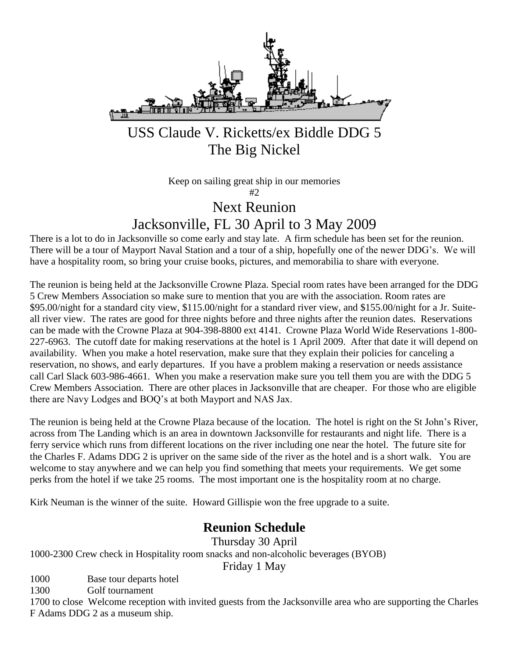

USS Claude V. Ricketts/ex Biddle DDG 5 The Big Nickel

> Keep on sailing great ship in our memories #2 Next Reunion

Jacksonville, FL 30 April to 3 May 2009

There is a lot to do in Jacksonville so come early and stay late. A firm schedule has been set for the reunion. There will be a tour of Mayport Naval Station and a tour of a ship, hopefully one of the newer DDG's. We will have a hospitality room, so bring your cruise books, pictures, and memorabilia to share with everyone.

The reunion is being held at the Jacksonville Crowne Plaza. Special room rates have been arranged for the DDG 5 Crew Members Association so make sure to mention that you are with the association. Room rates are \$95.00/night for a standard city view, \$115.00/night for a standard river view, and \$155.00/night for a Jr. Suiteall river view. The rates are good for three nights before and three nights after the reunion dates. Reservations can be made with the Crowne Plaza at 904-398-8800 ext 4141. Crowne Plaza World Wide Reservations 1-800- 227-6963. The cutoff date for making reservations at the hotel is 1 April 2009. After that date it will depend on availability. When you make a hotel reservation, make sure that they explain their policies for canceling a reservation, no shows, and early departures. If you have a problem making a reservation or needs assistance call Carl Slack 603-986-4661. When you make a reservation make sure you tell them you are with the DDG 5 Crew Members Association. There are other places in Jacksonville that are cheaper. For those who are eligible there are Navy Lodges and BOQ's at both Mayport and NAS Jax.

The reunion is being held at the Crowne Plaza because of the location. The hotel is right on the St John's River, across from The Landing which is an area in downtown Jacksonville for restaurants and night life. There is a ferry service which runs from different locations on the river including one near the hotel. The future site for the Charles F. Adams DDG 2 is upriver on the same side of the river as the hotel and is a short walk. You are welcome to stay anywhere and we can help you find something that meets your requirements. We get some perks from the hotel if we take 25 rooms. The most important one is the hospitality room at no charge.

Kirk Neuman is the winner of the suite. Howard Gillispie won the free upgrade to a suite.

### **Reunion Schedule**

Thursday 30 April

1000-2300 Crew check in Hospitality room snacks and non-alcoholic beverages (BYOB)

Friday 1 May

1000 Base tour departs hotel

1300 Golf tournament

1700 to close Welcome reception with invited guests from the Jacksonville area who are supporting the Charles F Adams DDG 2 as a museum ship.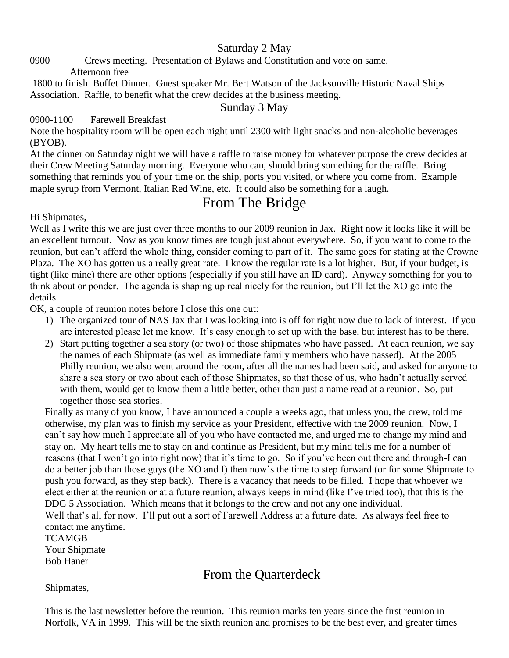#### Saturday 2 May

0900 Crews meeting. Presentation of Bylaws and Constitution and vote on same.

Afternoon free

1800 to finish Buffet Dinner. Guest speaker Mr. Bert Watson of the Jacksonville Historic Naval Ships Association. Raffle, to benefit what the crew decides at the business meeting.

Sunday 3 May

#### 0900-1100 Farewell Breakfast

Note the hospitality room will be open each night until 2300 with light snacks and non-alcoholic beverages (BYOB).

At the dinner on Saturday night we will have a raffle to raise money for whatever purpose the crew decides at their Crew Meeting Saturday morning. Everyone who can, should bring something for the raffle. Bring something that reminds you of your time on the ship, ports you visited, or where you come from. Example maple syrup from Vermont, Italian Red Wine, etc. It could also be something for a laugh.

# From The Bridge

Hi Shipmates,

Well as I write this we are just over three months to our 2009 reunion in Jax. Right now it looks like it will be an excellent turnout. Now as you know times are tough just about everywhere. So, if you want to come to the reunion, but can't afford the whole thing, consider coming to part of it. The same goes for stating at the Crowne Plaza. The XO has gotten us a really great rate. I know the regular rate is a lot higher. But, if your budget, is tight (like mine) there are other options (especially if you still have an ID card). Anyway something for you to think about or ponder. The agenda is shaping up real nicely for the reunion, but I'll let the XO go into the details.

OK, a couple of reunion notes before I close this one out:

- 1) The organized tour of NAS Jax that I was looking into is off for right now due to lack of interest. If you are interested please let me know. It's easy enough to set up with the base, but interest has to be there.
- 2) Start putting together a sea story (or two) of those shipmates who have passed. At each reunion, we say the names of each Shipmate (as well as immediate family members who have passed). At the 2005 Philly reunion, we also went around the room, after all the names had been said, and asked for anyone to share a sea story or two about each of those Shipmates, so that those of us, who hadn't actually served with them, would get to know them a little better, other than just a name read at a reunion. So, put together those sea stories.

Finally as many of you know, I have announced a couple a weeks ago, that unless you, the crew, told me otherwise, my plan was to finish my service as your President, effective with the 2009 reunion. Now, I can't say how much I appreciate all of you who have contacted me, and urged me to change my mind and stay on. My heart tells me to stay on and continue as President, but my mind tells me for a number of reasons (that I won't go into right now) that it's time to go. So if you've been out there and through-I can do a better job than those guys (the XO and I) then now's the time to step forward (or for some Shipmate to push you forward, as they step back). There is a vacancy that needs to be filled. I hope that whoever we elect either at the reunion or at a future reunion, always keeps in mind (like I've tried too), that this is the DDG 5 Association. Which means that it belongs to the crew and not any one individual. Well that's all for now. I'll put out a sort of Farewell Address at a future date. As always feel free to

contact me anytime. TCAMGB Your Shipmate Bob Haner

# From the Quarterdeck

Shipmates,

This is the last newsletter before the reunion. This reunion marks ten years since the first reunion in Norfolk, VA in 1999. This will be the sixth reunion and promises to be the best ever, and greater times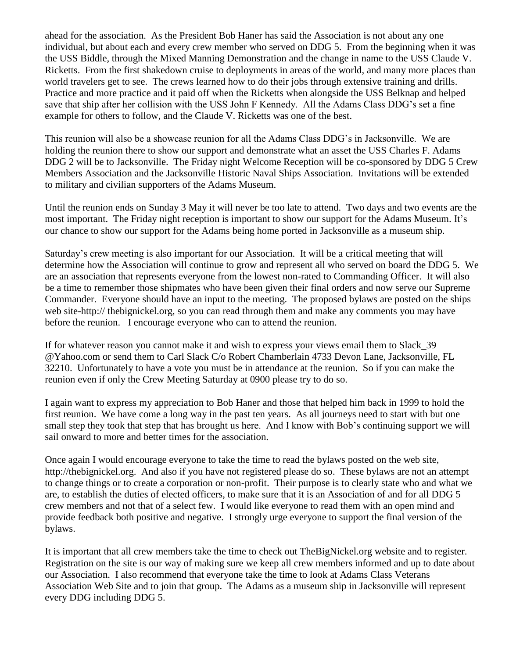ahead for the association. As the President Bob Haner has said the Association is not about any one individual, but about each and every crew member who served on DDG 5. From the beginning when it was the USS Biddle, through the Mixed Manning Demonstration and the change in name to the USS Claude V. Ricketts. From the first shakedown cruise to deployments in areas of the world, and many more places than world travelers get to see. The crews learned how to do their jobs through extensive training and drills. Practice and more practice and it paid off when the Ricketts when alongside the USS Belknap and helped save that ship after her collision with the USS John F Kennedy. All the Adams Class DDG's set a fine example for others to follow, and the Claude V. Ricketts was one of the best.

This reunion will also be a showcase reunion for all the Adams Class DDG's in Jacksonville. We are holding the reunion there to show our support and demonstrate what an asset the USS Charles F. Adams DDG 2 will be to Jacksonville. The Friday night Welcome Reception will be co-sponsored by DDG 5 Crew Members Association and the Jacksonville Historic Naval Ships Association. Invitations will be extended to military and civilian supporters of the Adams Museum.

Until the reunion ends on Sunday 3 May it will never be too late to attend. Two days and two events are the most important. The Friday night reception is important to show our support for the Adams Museum. It's our chance to show our support for the Adams being home ported in Jacksonville as a museum ship.

Saturday's crew meeting is also important for our Association. It will be a critical meeting that will determine how the Association will continue to grow and represent all who served on board the DDG 5. We are an association that represents everyone from the lowest non-rated to Commanding Officer. It will also be a time to remember those shipmates who have been given their final orders and now serve our Supreme Commander. Everyone should have an input to the meeting. The proposed bylaws are posted on the ships web site-http:// thebignickel.org, so you can read through them and make any comments you may have before the reunion. I encourage everyone who can to attend the reunion.

If for whatever reason you cannot make it and wish to express your views email them to Slack\_39 @Yahoo.com or send them to Carl Slack C/o Robert Chamberlain 4733 Devon Lane, Jacksonville, FL 32210. Unfortunately to have a vote you must be in attendance at the reunion. So if you can make the reunion even if only the Crew Meeting Saturday at 0900 please try to do so.

I again want to express my appreciation to Bob Haner and those that helped him back in 1999 to hold the first reunion. We have come a long way in the past ten years. As all journeys need to start with but one small step they took that step that has brought us here. And I know with Bob's continuing support we will sail onward to more and better times for the association.

Once again I would encourage everyone to take the time to read the bylaws posted on the web site, http://thebignickel.org. And also if you have not registered please do so. These bylaws are not an attempt to change things or to create a corporation or non-profit. Their purpose is to clearly state who and what we are, to establish the duties of elected officers, to make sure that it is an Association of and for all DDG 5 crew members and not that of a select few. I would like everyone to read them with an open mind and provide feedback both positive and negative. I strongly urge everyone to support the final version of the bylaws.

It is important that all crew members take the time to check out TheBigNickel.org website and to register. Registration on the site is our way of making sure we keep all crew members informed and up to date about our Association. I also recommend that everyone take the time to look at Adams Class Veterans Association Web Site and to join that group. The Adams as a museum ship in Jacksonville will represent every DDG including DDG 5.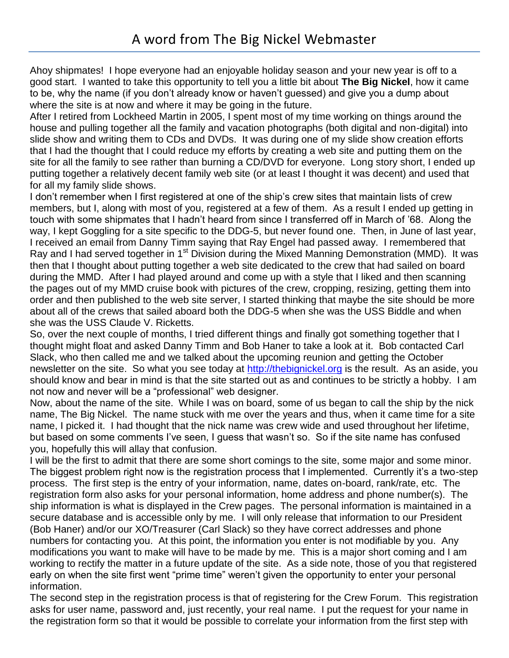Ahoy shipmates! I hope everyone had an enjoyable holiday season and your new year is off to a good start. I wanted to take this opportunity to tell you a little bit about **The Big Nickel**, how it came to be, why the name (if you don't already know or haven't guessed) and give you a dump about where the site is at now and where it may be going in the future.

After I retired from Lockheed Martin in 2005, I spent most of my time working on things around the house and pulling together all the family and vacation photographs (both digital and non-digital) into slide show and writing them to CDs and DVDs. It was during one of my slide show creation efforts that I had the thought that I could reduce my efforts by creating a web site and putting them on the site for all the family to see rather than burning a CD/DVD for everyone. Long story short, I ended up putting together a relatively decent family web site (or at least I thought it was decent) and used that for all my family slide shows.

I don't remember when I first registered at one of the ship's crew sites that maintain lists of crew members, but I, along with most of you, registered at a few of them. As a result I ended up getting in touch with some shipmates that I hadn't heard from since I transferred off in March of '68. Along the way, I kept Goggling for a site specific to the DDG-5, but never found one. Then, in June of last year, I received an email from Danny Timm saying that Ray Engel had passed away. I remembered that Ray and I had served together in 1<sup>st</sup> Division during the Mixed Manning Demonstration (MMD). It was then that I thought about putting together a web site dedicated to the crew that had sailed on board during the MMD. After I had played around and come up with a style that I liked and then scanning the pages out of my MMD cruise book with pictures of the crew, cropping, resizing, getting them into order and then published to the web site server, I started thinking that maybe the site should be more about all of the crews that sailed aboard both the DDG-5 when she was the USS Biddle and when she was the USS Claude V. Ricketts.

So, over the next couple of months, I tried different things and finally got something together that I thought might float and asked Danny Timm and Bob Haner to take a look at it. Bob contacted Carl Slack, who then called me and we talked about the upcoming reunion and getting the October newsletter on the site. So what you see today at [http://thebignickel.org](http://thebignickel.org/) is the result. As an aside, you should know and bear in mind is that the site started out as and continues to be strictly a hobby. I am not now and never will be a "professional" web designer.

Now, about the name of the site. While I was on board, some of us began to call the ship by the nick name, The Big Nickel. The name stuck with me over the years and thus, when it came time for a site name, I picked it. I had thought that the nick name was crew wide and used throughout her lifetime, but based on some comments I've seen, I guess that wasn't so. So if the site name has confused you, hopefully this will allay that confusion.

I will be the first to admit that there are some short comings to the site, some major and some minor. The biggest problem right now is the registration process that I implemented. Currently it's a two-step process. The first step is the entry of your information, name, dates on-board, rank/rate, etc. The registration form also asks for your personal information, home address and phone number(s). The ship information is what is displayed in the Crew pages. The personal information is maintained in a secure database and is accessible only by me. I will only release that information to our President (Bob Haner) and/or our XO/Treasurer (Carl Slack) so they have correct addresses and phone numbers for contacting you. At this point, the information you enter is not modifiable by you. Any modifications you want to make will have to be made by me. This is a major short coming and I am working to rectify the matter in a future update of the site. As a side note, those of you that registered early on when the site first went "prime time" weren't given the opportunity to enter your personal information.

The second step in the registration process is that of registering for the Crew Forum. This registration asks for user name, password and, just recently, your real name. I put the request for your name in the registration form so that it would be possible to correlate your information from the first step with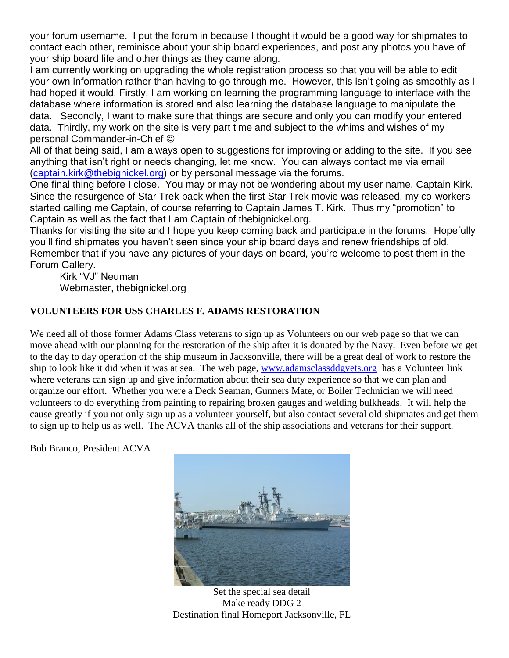your forum username. I put the forum in because I thought it would be a good way for shipmates to contact each other, reminisce about your ship board experiences, and post any photos you have of your ship board life and other things as they came along.

I am currently working on upgrading the whole registration process so that you will be able to edit your own information rather than having to go through me. However, this isn't going as smoothly as I had hoped it would. Firstly, I am working on learning the programming language to interface with the database where information is stored and also learning the database language to manipulate the data. Secondly, I want to make sure that things are secure and only you can modify your entered data. Thirdly, my work on the site is very part time and subject to the whims and wishes of my personal Commander-in-Chief

All of that being said, I am always open to suggestions for improving or adding to the site. If you see anything that isn't right or needs changing, let me know. You can always contact me via email [\(captain.kirk@thebignickel.org\)](mailto:captain.kirk@thebignickel.org) or by personal message via the forums.

One final thing before I close. You may or may not be wondering about my user name, Captain Kirk. Since the resurgence of Star Trek back when the first Star Trek movie was released, my co-workers started calling me Captain, of course referring to Captain James T. Kirk. Thus my "promotion" to Captain as well as the fact that I am Captain of thebignickel.org.

Thanks for visiting the site and I hope you keep coming back and participate in the forums. Hopefully you'll find shipmates you haven't seen since your ship board days and renew friendships of old. Remember that if you have any pictures of your days on board, you're welcome to post them in the Forum Gallery.

Kirk "VJ" Neuman Webmaster, thebignickel.org

#### **VOLUNTEERS FOR USS CHARLES F. ADAMS RESTORATION**

We need all of those former Adams Class veterans to sign up as Volunteers on our web page so that we can move ahead with our planning for the restoration of the ship after it is donated by the Navy. Even before we get to the day to day operation of the ship museum in Jacksonville, there will be a great deal of work to restore the ship to look like it did when it was at sea. The web page, [www.adamsclassddgvets.org](http://www.adamsclassddgvets.org/) has a Volunteer link where veterans can sign up and give information about their sea duty experience so that we can plan and organize our effort. Whether you were a Deck Seaman, Gunners Mate, or Boiler Technician we will need volunteers to do everything from painting to repairing broken gauges and welding bulkheads. It will help the cause greatly if you not only sign up as a volunteer yourself, but also contact several old shipmates and get them to sign up to help us as well. The ACVA thanks all of the ship associations and veterans for their support.

Bob Branco, President ACVA



Set the special sea detail Make ready DDG 2 Destination final Homeport Jacksonville, FL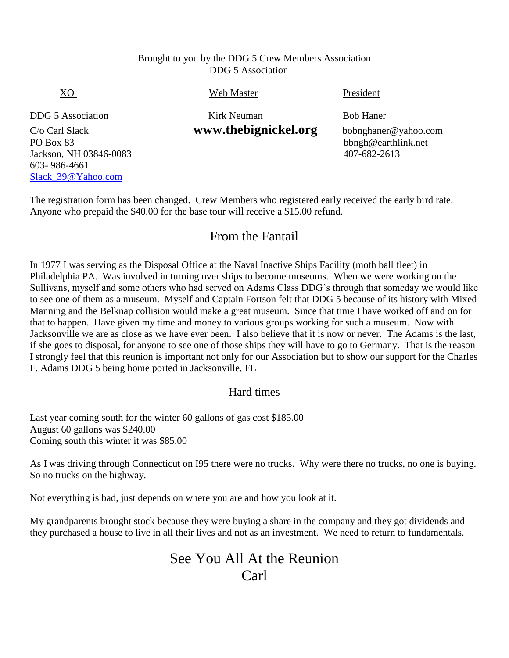#### Brought to you by the DDG 5 Crew Members Association DDG 5 Association

Jackson, NH 03846-0083 407-682-2613 603- 986-4661 [Slack\\_39@Yahoo.com](mailto:Slack_39@Yahoo.com)

XO Web Master President

DDG 5 Association Kirk Neuman Bob Haner

C/o Carl Slack **www.thebignickel.org** bobnghaner@yahoo.com<br>PO Box 83<br>bhngh@earthlink.net bbngh@earthlink.net

The registration form has been changed. Crew Members who registered early received the early bird rate. Anyone who prepaid the \$40.00 for the base tour will receive a \$15.00 refund.

# From the Fantail

In 1977 I was serving as the Disposal Office at the Naval Inactive Ships Facility (moth ball fleet) in Philadelphia PA. Was involved in turning over ships to become museums. When we were working on the Sullivans, myself and some others who had served on Adams Class DDG's through that someday we would like to see one of them as a museum. Myself and Captain Fortson felt that DDG 5 because of its history with Mixed Manning and the Belknap collision would make a great museum. Since that time I have worked off and on for that to happen. Have given my time and money to various groups working for such a museum. Now with Jacksonville we are as close as we have ever been. I also believe that it is now or never. The Adams is the last, if she goes to disposal, for anyone to see one of those ships they will have to go to Germany. That is the reason I strongly feel that this reunion is important not only for our Association but to show our support for the Charles F. Adams DDG 5 being home ported in Jacksonville, FL

### Hard times

Last year coming south for the winter 60 gallons of gas cost \$185.00 August 60 gallons was \$240.00 Coming south this winter it was \$85.00

As I was driving through Connecticut on I95 there were no trucks. Why were there no trucks, no one is buying. So no trucks on the highway.

Not everything is bad, just depends on where you are and how you look at it.

My grandparents brought stock because they were buying a share in the company and they got dividends and they purchased a house to live in all their lives and not as an investment. We need to return to fundamentals.

# See You All At the Reunion Carl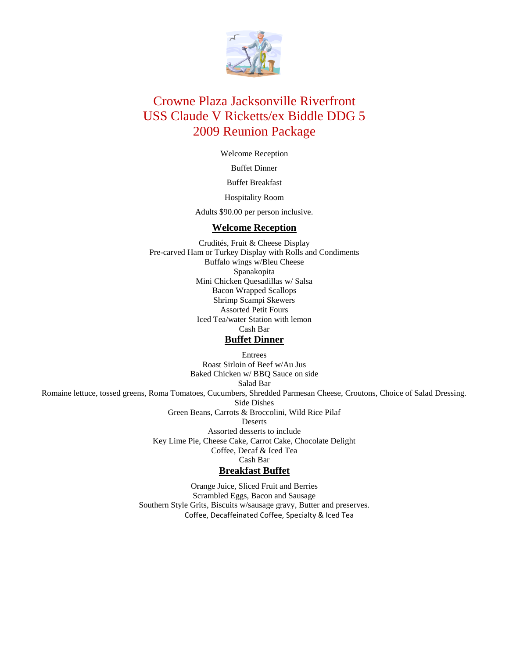

## Crowne Plaza Jacksonville Riverfront USS Claude V Ricketts/ex Biddle DDG 5 2009 Reunion Package

Welcome Reception

Buffet Dinner

Buffet Breakfast

Hospitality Room

Adults \$90.00 per person inclusive.

#### **Welcome Reception**

Crudités, Fruit & Cheese Display Pre-carved Ham or Turkey Display with Rolls and Condiments Buffalo wings w/Bleu Cheese Spanakopita Mini Chicken Quesadillas w/ Salsa Bacon Wrapped Scallops Shrimp Scampi Skewers Assorted Petit Fours Iced Tea/water Station with lemon Cash Bar **Buffet Dinner**

Entrees Roast Sirloin of Beef w/Au Jus Baked Chicken w/ BBQ Sauce on side Salad Bar Romaine lettuce, tossed greens, Roma Tomatoes, Cucumbers, Shredded Parmesan Cheese, Croutons, Choice of Salad Dressing. Side Dishes Green Beans, Carrots & Broccolini, Wild Rice Pilaf Deserts Assorted desserts to include Key Lime Pie, Cheese Cake, Carrot Cake, Chocolate Delight Coffee, Decaf & Iced Tea Cash Bar **Breakfast Buffet** Orange Juice, Sliced Fruit and Berries

Scrambled Eggs, Bacon and Sausage Southern Style Grits, Biscuits w/sausage gravy, Butter and preserves. Coffee, Decaffeinated Coffee, Specialty & Iced Tea